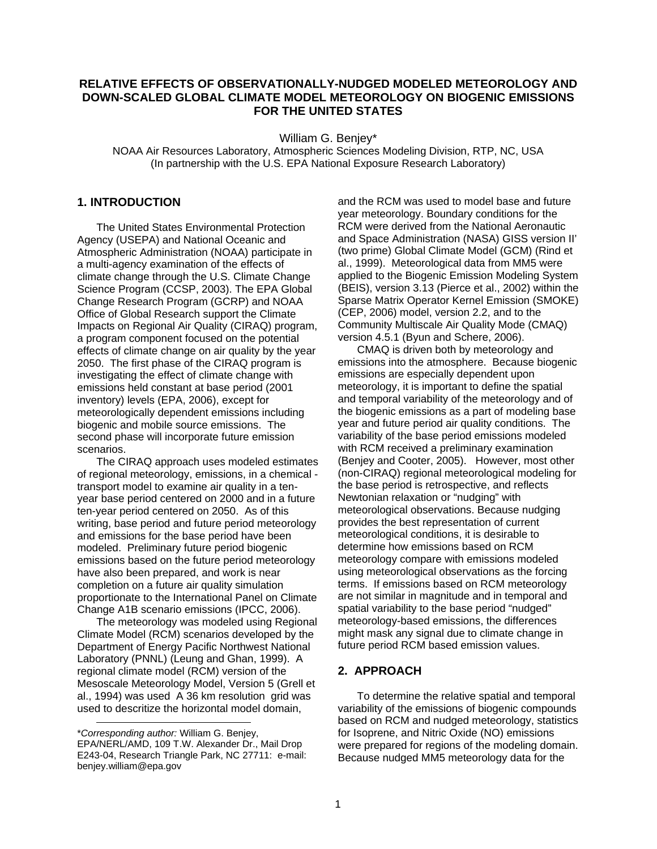#### **RELATIVE EFFECTS OF OBSERVATIONALLY-NUDGED MODELED METEOROLOGY AND DOWN-SCALED GLOBAL CLIMATE MODEL METEOROLOGY ON BIOGENIC EMISSIONS FOR THE UNITED STATES**

William G. Benjey\*

NOAA Air Resources Laboratory, Atmospheric Sciences Modeling Division, RTP, NC, USA (In partnership with the U.S. EPA National Exposure Research Laboratory)

# **1. INTRODUCTION**

The United States Environmental Protection Agency (USEPA) and National Oceanic and Atmospheric Administration (NOAA) participate in a multi-agency examination of the effects of climate change through the U.S. Climate Change Science Program (CCSP, 2003). The EPA Global Change Research Program (GCRP) and NOAA Office of Global Research support the Climate Impacts on Regional Air Quality (CIRAQ) program, a program component focused on the potential effects of climate change on air quality by the year 2050. The first phase of the CIRAQ program is investigating the effect of climate change with emissions held constant at base period (2001 inventory) levels (EPA, 2006), except for meteorologically dependent emissions including biogenic and mobile source emissions. The second phase will incorporate future emission scenarios.

The CIRAQ approach uses modeled estimates of regional meteorology, emissions, in a chemical transport model to examine air quality in a tenyear base period centered on 2000 and in a future ten-year period centered on 2050. As of this writing, base period and future period meteorology and emissions for the base period have been modeled. Preliminary future period biogenic emissions based on the future period meteorology have also been prepared, and work is near completion on a future air quality simulation proportionate to the International Panel on Climate Change A1B scenario emissions (IPCC, 2006).

The meteorology was modeled using Regional Climate Model (RCM) scenarios developed by the Department of Energy Pacific Northwest National Laboratory (PNNL) (Leung and Ghan, 1999). A regional climate model (RCM) version of the Mesoscale Meteorology Model, Version 5 (Grell et al., 1994) was used A 36 km resolution grid was used to descritize the horizontal model domain,

l

and the RCM was used to model base and future year meteorology. Boundary conditions for the RCM were derived from the National Aeronautic and Space Administration (NASA) GISS version II' (two prime) Global Climate Model (GCM) (Rind et al., 1999). Meteorological data from MM5 were applied to the Biogenic Emission Modeling System (BEIS), version 3.13 (Pierce et al., 2002) within the Sparse Matrix Operator Kernel Emission (SMOKE) (CEP, 2006) model, version 2.2, and to the Community Multiscale Air Quality Mode (CMAQ) version 4.5.1 (Byun and Schere, 2006).

CMAQ is driven both by meteorology and emissions into the atmosphere. Because biogenic emissions are especially dependent upon meteorology, it is important to define the spatial and temporal variability of the meteorology and of the biogenic emissions as a part of modeling base year and future period air quality conditions. The variability of the base period emissions modeled with RCM received a preliminary examination (Benjey and Cooter, 2005). However, most other (non-CIRAQ) regional meteorological modeling for the base period is retrospective, and reflects Newtonian relaxation or "nudging" with meteorological observations. Because nudging provides the best representation of current meteorological conditions, it is desirable to determine how emissions based on RCM meteorology compare with emissions modeled using meteorological observations as the forcing terms. If emissions based on RCM meteorology are not similar in magnitude and in temporal and spatial variability to the base period "nudged" meteorology-based emissions, the differences might mask any signal due to climate change in future period RCM based emission values.

#### **2. APPROACH**

To determine the relative spatial and temporal variability of the emissions of biogenic compounds based on RCM and nudged meteorology, statistics for Isoprene, and Nitric Oxide (NO) emissions were prepared for regions of the modeling domain. Because nudged MM5 meteorology data for the

<sup>\*</sup>*Corresponding author:* William G. Benjey, EPA/NERL/AMD, 109 T.W. Alexander Dr., Mail Drop E243-04, Research Triangle Park, NC 27711: e-mail: benjey.william@epa.gov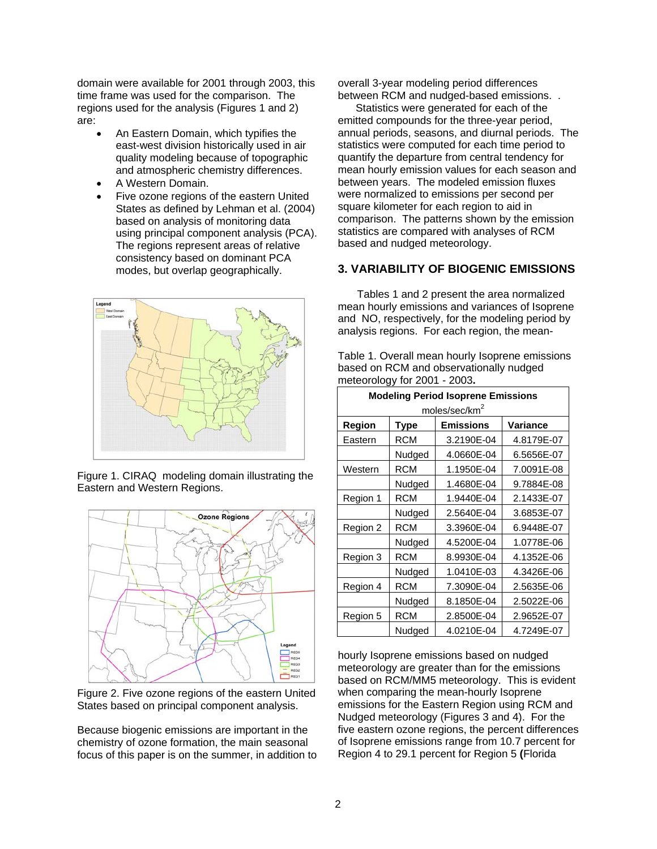domain were available for 2001 through 2003, this time frame was used for the comparison. The regions used for the analysis (Figures 1 and 2) are:

- An Eastern Domain, which typifies the east-west division historically used in air quality modeling because of topographic and atmospheric chemistry differences.
- A Western Domain.
- Five ozone regions of the eastern United States as defined by Lehman et al. (2004) based on analysis of monitoring data using principal component analysis (PCA). The regions represent areas of relative consistency based on dominant PCA modes, but overlap geographically.



Figure 1. CIRAQ modeling domain illustrating the Eastern and Western Regions.



Figure 2. Five ozone regions of the eastern United States based on principal component analysis.

Because biogenic emissions are important in the chemistry of ozone formation, the main seasonal focus of this paper is on the summer, in addition to overall 3-year modeling period differences between RCM and nudged-based emissions. .

 Statistics were generated for each of the emitted compounds for the three-year period, annual periods, seasons, and diurnal periods. The statistics were computed for each time period to quantify the departure from central tendency for mean hourly emission values for each season and between years. The modeled emission fluxes were normalized to emissions per second per square kilometer for each region to aid in comparison. The patterns shown by the emission statistics are compared with analyses of RCM based and nudged meteorology.

### **3. VARIABILITY OF BIOGENIC EMISSIONS**

Tables 1 and 2 present the area normalized mean hourly emissions and variances of Isoprene and NO, respectively, for the modeling period by analysis regions. For each region, the mean-

Table 1. Overall mean hourly Isoprene emissions based on RCM and observationally nudged meteorology for 2001 - 2003**.** 

| <b>Modeling Period Isoprene Emissions</b> |             |                  |            |  |  |  |
|-------------------------------------------|-------------|------------------|------------|--|--|--|
| moles/sec/km <sup>2</sup>                 |             |                  |            |  |  |  |
| Region                                    | <b>Type</b> | <b>Emissions</b> | Variance   |  |  |  |
| Eastern                                   | <b>RCM</b>  | 3.2190E-04       | 4.8179E-07 |  |  |  |
|                                           | Nudged      | 4.0660E-04       | 6.5656E-07 |  |  |  |
| Western                                   | <b>RCM</b>  | 1.1950E-04       | 7.0091E-08 |  |  |  |
|                                           | Nudged      | 1.4680E-04       | 9.7884E-08 |  |  |  |
| Region 1                                  | <b>RCM</b>  | 1.9440E-04       | 2.1433E-07 |  |  |  |
|                                           | Nudged      | 2.5640E-04       | 3.6853E-07 |  |  |  |
| Region 2                                  | <b>RCM</b>  | 3.3960E-04       | 6.9448E-07 |  |  |  |
|                                           | Nudged      | 4.5200E-04       | 1.0778E-06 |  |  |  |
| Region 3                                  | RCM         | 8.9930E-04       | 4.1352E-06 |  |  |  |
|                                           | Nudged      | 1.0410E-03       | 4.3426E-06 |  |  |  |
| Region 4                                  | <b>RCM</b>  | 7.3090E-04       | 2.5635E-06 |  |  |  |
|                                           | Nudged      | 8.1850E-04       | 2.5022E-06 |  |  |  |
| Region 5                                  | <b>RCM</b>  | 2.8500E-04       | 2.9652E-07 |  |  |  |
|                                           | Nudged      | 4.0210E-04       | 4.7249E-07 |  |  |  |

hourly Isoprene emissions based on nudged meteorology are greater than for the emissions based on RCM/MM5 meteorology. This is evident when comparing the mean-hourly Isoprene emissions for the Eastern Region using RCM and Nudged meteorology (Figures 3 and 4). For the five eastern ozone regions, the percent differences of Isoprene emissions range from 10.7 percent for Region 4 to 29.1 percent for Region 5 **(**Florida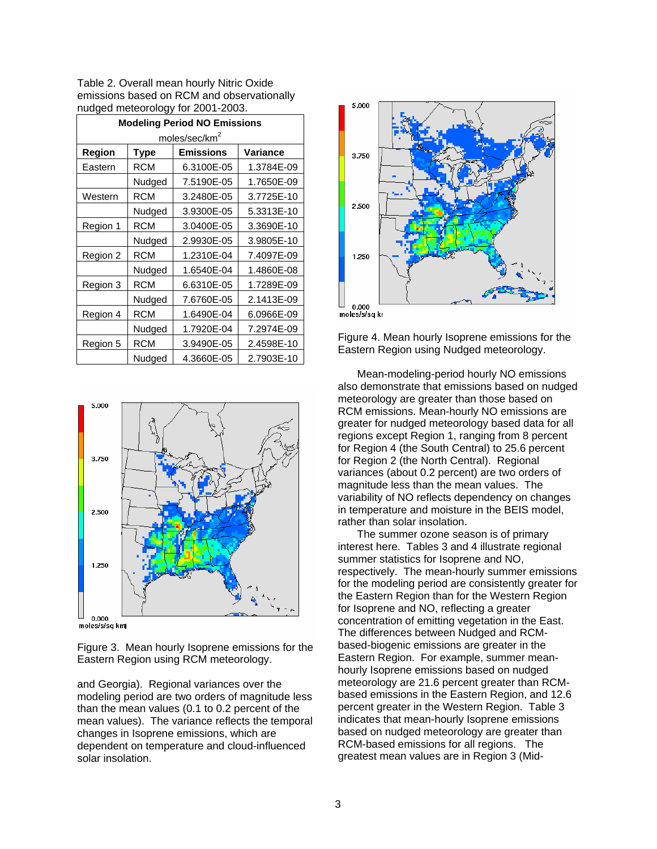Table 2. Overall mean hourly Nitric Oxide emissions based on RCM and observationally nudged meteorology for 2001-2003.

| <b>Modeling Period NO Emissions</b> |             |                  |            |  |  |
|-------------------------------------|-------------|------------------|------------|--|--|
| moles/sec/km <sup>2</sup>           |             |                  |            |  |  |
| Region                              | <b>Type</b> | <b>Emissions</b> | Variance   |  |  |
| Eastern                             | RCM         | 6.3100E-05       | 1.3784E-09 |  |  |
|                                     | Nudged      | 7.5190E-05       | 1.7650E-09 |  |  |
| Western                             | RCM         | 3.2480E-05       | 3.7725E-10 |  |  |
|                                     | Nudged      | 3.9300E-05       | 5.3313E-10 |  |  |
| Region 1                            | RCM         | 3.0400E-05       | 3.3690E-10 |  |  |
|                                     | Nudged      | 2.9930E-05       | 3.9805E-10 |  |  |
| Region 2                            | RCM         | 1.2310E-04       | 7.4097E-09 |  |  |
|                                     | Nudged      | 1.6540E-04       | 1.4860E-08 |  |  |
| Region 3                            | RCM         | 6.6310E-05       | 1.7289E-09 |  |  |
|                                     | Nudged      | 7.6760E-05       | 2.1413E-09 |  |  |
| Region 4                            | RCM         | 1.6490E-04       | 6.0966E-09 |  |  |
|                                     | Nudged      | 1.7920E-04       | 7.2974E-09 |  |  |
| Region 5                            | RCM         | 3.9490E-05       | 2.4598E-10 |  |  |
|                                     | Nudged      | 4.3660E-05       | 2.7903E-10 |  |  |



moles/s/sa km

Figure 3. Mean hourly Isoprene emissions for the Eastern Region using RCM meteorology.

and Georgia). Regional variances over the modeling period are two orders of magnitude less than the mean values (0.1 to 0.2 percent of the mean values). The variance reflects the temporal changes in Isoprene emissions, which are dependent on temperature and cloud-influenced solar insolation.



Figure 4. Mean hourly Isoprene emissions for the Eastern Region using Nudged meteorology.

 Mean-modeling-period hourly NO emissions also demonstrate that emissions based on nudged meteorology are greater than those based on RCM emissions. Mean-hourly NO emissions are greater for nudged meteorology based data for all regions except Region 1, ranging from 8 percent for Region 4 (the South Central) to 25.6 percent for Region 2 (the North Central). Regional variances (about 0.2 percent) are two orders of magnitude less than the mean values. The variability of NO reflects dependency on changes in temperature and moisture in the BEIS model, rather than solar insolation.

The summer ozone season is of primary interest here. Tables 3 and 4 illustrate regional summer statistics for Isoprene and NO, respectively. The mean-hourly summer emissions for the modeling period are consistently greater for the Eastern Region than for the Western Region for Isoprene and NO, reflecting a greater concentration of emitting vegetation in the East. The differences between Nudged and RCMbased-biogenic emissions are greater in the Eastern Region. For example, summer meanhourly Isoprene emissions based on nudged meteorology are 21.6 percent greater than RCMbased emissions in the Eastern Region, and 12.6 percent greater in the Western Region. Table 3 indicates that mean-hourly Isoprene emissions based on nudged meteorology are greater than RCM-based emissions for all regions. The greatest mean values are in Region 3 (Mid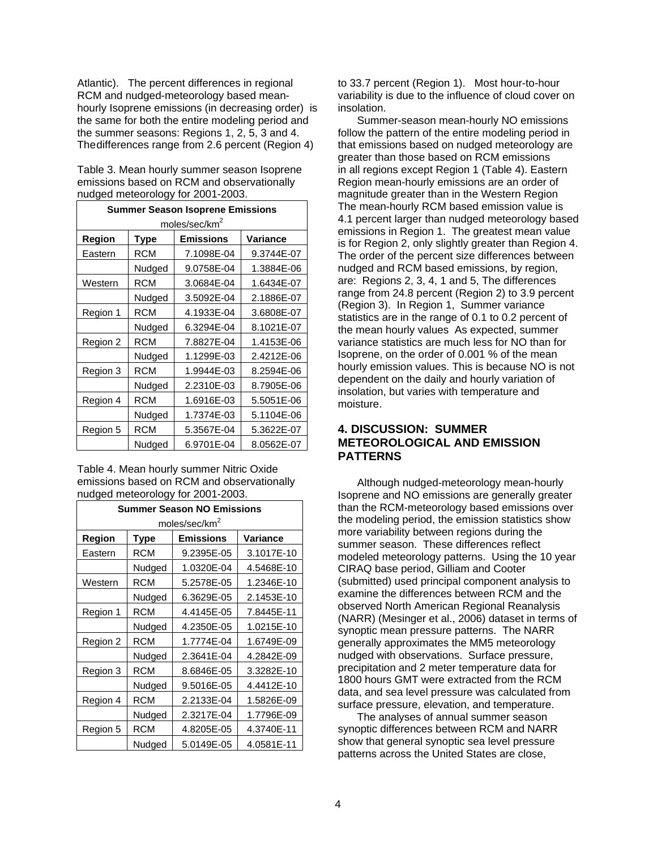Atlantic). The percent differences in regional RCM and nudged-meteorology based meanhourly Isoprene emissions (in decreasing order) is the same for both the entire modeling period and the summer seasons: Regions 1, 2, 5, 3 and 4. The differences range from 2.6 percent (Region 4)

| Table 3. Mean hourly summer season Isoprene |
|---------------------------------------------|
| emissions based on RCM and observationally  |
| nudged meteorology for 2001-2003.           |

| <b>Summer Season Isoprene Emissions</b> |            |                  |            |  |  |
|-----------------------------------------|------------|------------------|------------|--|--|
| moles/sec/km <sup>2</sup>               |            |                  |            |  |  |
| Region                                  | Type       | <b>Emissions</b> | Variance   |  |  |
| Eastern                                 | <b>RCM</b> | 7.1098E-04       | 9.3744E-07 |  |  |
|                                         | Nudged     | 9.0758E-04       | 1.3884E-06 |  |  |
| Western                                 | <b>RCM</b> | 3.0684E-04       | 1.6434E-07 |  |  |
|                                         | Nudged     | 3.5092E-04       | 2.1886E-07 |  |  |
| Region 1                                | <b>RCM</b> | 4.1933E-04       | 3.6808E-07 |  |  |
|                                         | Nudged     | 6.3294E-04       | 8.1021E-07 |  |  |
| Region 2                                | <b>RCM</b> | 7.8827E-04       | 1.4153E-06 |  |  |
|                                         | Nudged     | 1.1299E-03       | 2.4212E-06 |  |  |
| Region 3                                | <b>RCM</b> | 1.9944E-03       | 8.2594E-06 |  |  |
|                                         | Nudged     | 2.2310E-03       | 8.7905E-06 |  |  |
| Region 4                                | <b>RCM</b> | 1.6916E-03       | 5.5051E-06 |  |  |
|                                         | Nudged     | 1.7374E-03       | 5.1104E-06 |  |  |
| Region 5                                | <b>RCM</b> | 5.3567E-04       | 5.3622E-07 |  |  |
|                                         | Nudged     | 6.9701E-04       | 8.0562E-07 |  |  |

Table 4. Mean hourly summer Nitric Oxide emissions based on RCM and observationally nudged meteorology for 2001-2003.

| <b>Summer Season NO Emissions</b> |            |            |            |  |  |
|-----------------------------------|------------|------------|------------|--|--|
| moles/sec/km <sup>2</sup>         |            |            |            |  |  |
| Region                            | Type       | Emissions  | Variance   |  |  |
| Eastern                           | <b>RCM</b> | 9.2395E-05 | 3.1017E-10 |  |  |
|                                   | Nudged     | 1.0320E-04 | 4.5468E-10 |  |  |
| Western                           | <b>RCM</b> | 5.2578E-05 | 1.2346E-10 |  |  |
|                                   | Nudged     | 6.3629E-05 | 2.1453E-10 |  |  |
| Region 1                          | <b>RCM</b> | 4.4145E-05 | 7.8445E-11 |  |  |
|                                   | Nudged     | 4.2350E-05 | 1.0215E-10 |  |  |
| Region 2                          | <b>RCM</b> | 1.7774E-04 | 1.6749E-09 |  |  |
|                                   | Nudged     | 2.3641E-04 | 4.2842E-09 |  |  |
| Region 3                          | <b>RCM</b> | 8.6846E-05 | 3.3282E-10 |  |  |
|                                   | Nudged     | 9.5016E-05 | 4.4412E-10 |  |  |
| Region 4                          | <b>RCM</b> | 2.2133E-04 | 1.5826E-09 |  |  |
|                                   | Nudged     | 2.3217E-04 | 1.7796E-09 |  |  |
| Region 5                          | <b>RCM</b> | 4.8205E-05 | 4.3740E-11 |  |  |
|                                   | Nudged     | 5.0149E-05 | 4.0581E-11 |  |  |

to 33.7 percent (Region 1). Most hour-to-hour variability is due to the influence of cloud cover on insolation.

Summer-season mean-hourly NO emissions follow the pattern of the entire modeling period in that emissions based on nudged meteorology are greater than those based on RCM emissions in all regions except Region 1 (Table 4). Eastern Region mean-hourly emissions are an order of magnitude greater than in the Western Region The mean-hourly RCM based emission value is 4.1 percent larger than nudged meteorology based emissions in Region 1. The greatest mean value is for Region 2, only slightly greater than Region 4. The order of the percent size differences between nudged and RCM based emissions, by region, are: Regions 2, 3, 4, 1 and 5, The differences range from 24.8 percent (Region 2) to 3.9 percent (Region 3). In Region 1, Summer variance statistics are in the range of 0.1 to 0.2 percent of the mean hourly values As expected, summer variance statistics are much less for NO than for Isoprene, on the order of 0.001 % of the mean hourly emission values. This is because NO is not dependent on the daily and hourly variation of insolation, but varies with temperature and moisture.

# **4. DISCUSSION: SUMMER METEOROLOGICAL AND EMISSION PATTERNS**

Although nudged-meteorology mean-hourly Isoprene and NO emissions are generally greater than the RCM-meteorology based emissions over the modeling period, the emission statistics show more variability between regions during the summer season. These differences reflect modeled meteorology patterns. Using the 10 year CIRAQ base period, Gilliam and Cooter (submitted) used principal component analysis to examine the differences between RCM and the observed North American Regional Reanalysis (NARR) (Mesinger et al., 2006) dataset in terms of synoptic mean pressure patterns. The NARR generally approximates the MM5 meteorology nudged with observations. Surface pressure, precipitation and 2 meter temperature data for 1800 hours GMT were extracted from the RCM data, and sea level pressure was calculated from surface pressure, elevation, and temperature.

The analyses of annual summer season synoptic differences between RCM and NARR show that general synoptic sea level pressure patterns across the United States are close,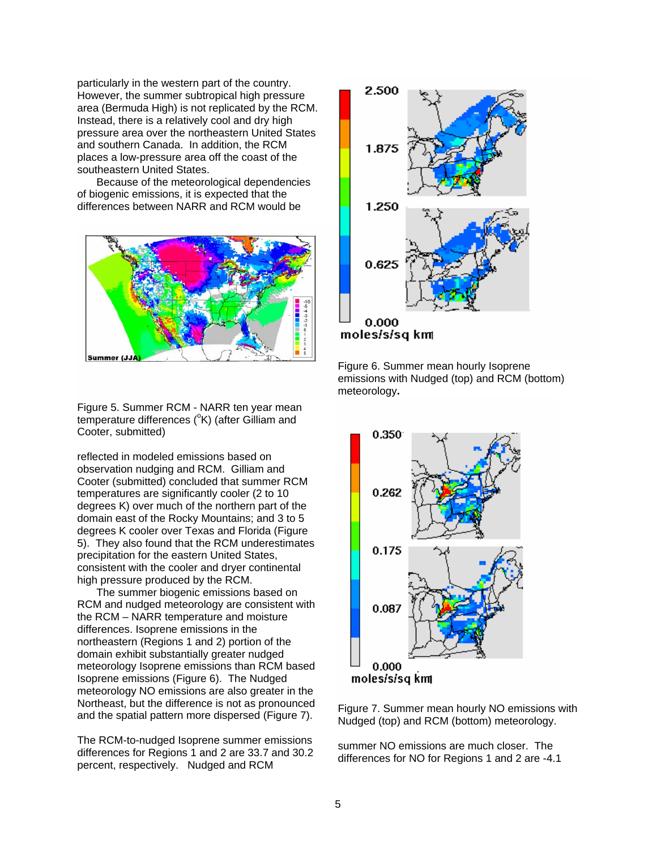particularly in the western part of the country. However, the summer subtropical high pressure area (Bermuda High) is not replicated by the RCM. Instead, there is a relatively cool and dry high pressure area over the northeastern United States and southern Canada. In addition, the RCM places a low-pressure area off the coast of the southeastern United States.

Because of the meteorological dependencies of biogenic emissions, it is expected that the differences between NARR and RCM would be



Figure 5. Summer RCM - NARR ten year mean temperature differences (°K) (after Gilliam and Cooter, submitted)

reflected in modeled emissions based on observation nudging and RCM. Gilliam and Cooter (submitted) concluded that summer RCM temperatures are significantly cooler (2 to 10 degrees K) over much of the northern part of the domain east of the Rocky Mountains; and 3 to 5 degrees K cooler over Texas and Florida (Figure 5). They also found that the RCM underestimates precipitation for the eastern United States, consistent with the cooler and dryer continental high pressure produced by the RCM.

The summer biogenic emissions based on RCM and nudged meteorology are consistent with the RCM – NARR temperature and moisture differences. Isoprene emissions in the northeastern (Regions 1 and 2) portion of the domain exhibit substantially greater nudged meteorology Isoprene emissions than RCM based Isoprene emissions (Figure 6). The Nudged meteorology NO emissions are also greater in the Northeast, but the difference is not as pronounced and the spatial pattern more dispersed (Figure 7).

The RCM-to-nudged Isoprene summer emissions differences for Regions 1 and 2 are 33.7 and 30.2 percent, respectively. Nudged and RCM



Figure 6. Summer mean hourly Isoprene emissions with Nudged (top) and RCM (bottom) meteorology**.** 



Figure 7. Summer mean hourly NO emissions with Nudged (top) and RCM (bottom) meteorology.

summer NO emissions are much closer. The differences for NO for Regions 1 and 2 are -4.1